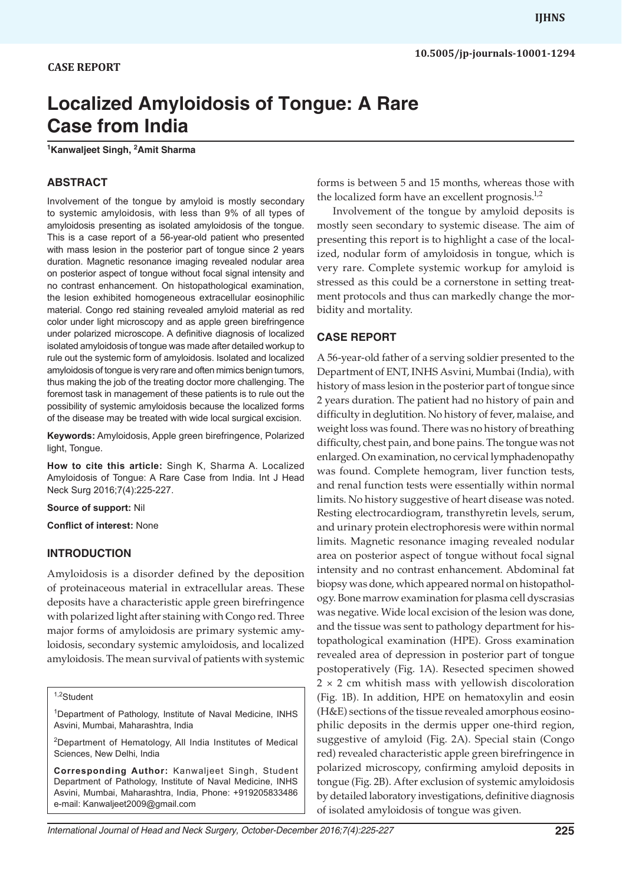# *Localized Amyloidosis of Tongue: A Rare Case from India* **10.5005/jp-journals-10001-1294** IJHNS<br>10.5005/jp-journals-10001-12<br>CASE REPORT

# **Localized Amyloidosis of Tongue: A Rare Case from India**

**1 Kanwaljeet Singh, 2 Amit Sharma**

# **ABSTRACT**

Involvement of the tongue by amyloid is mostly secondary to systemic amyloidosis, with less than 9% of all types of amyloidosis presenting as isolated amyloidosis of the tongue. This is a case report of a 56-year-old patient who presented with mass lesion in the posterior part of tongue since 2 years duration. Magnetic resonance imaging revealed nodular area on posterior aspect of tongue without focal signal intensity and no contrast enhancement. On histopathological examination, the lesion exhibited homogeneous extracellular eosinophilic material. Congo red staining revealed amyloid material as red color under light microscopy and as apple green birefringence under polarized microscope. A definitive diagnosis of localized isolated amyloidosis of tongue was made after detailed workup to rule out the systemic form of amyloidosis. Isolated and localized amyloidosis of tongue is very rare and often mimics benign tumors, thus making the job of the treating doctor more challenging. The foremost task in management of these patients is to rule out the possibility of systemic amyloidosis because the localized forms of the disease may be treated with wide local surgical excision.

**Keywords:** Amyloidosis, Apple green birefringence, Polarized light, Tongue.

**How to cite this article:** Singh K, Sharma A. Localized Amyloidosis of Tongue: A Rare Case from India. Int J Head Neck Surg 2016;7(4):225-227.

**Source of support:** Nil

**Conflict of interest:** None

#### **INTRODUCTION**

Amyloidosis is a disorder defined by the deposition of proteinaceous material in extracellular areas. These deposits have a characteristic apple green birefringence with polarized light after staining with Congo red. Three major forms of amyloidosis are primary systemic amyloidosis, secondary systemic amyloidosis, and localized amyloidosis. The mean survival of patients with systemic

<sup>1</sup>Department of Pathology, Institute of Naval Medicine, INHS Asvini, Mumbai, Maharashtra, India

2Department of Hematology, All India Institutes of Medical Sciences, New Delhi, India

**Corresponding Author:** Kanwaljeet Singh, Student Department of Pathology, Institute of Naval Medicine, INHS Asvini, Mumbai, Maharashtra, India, Phone: +919205833486 e-mail: Kanwaljeet2009@gmail.com

forms is between 5 and 15 months, whereas those with the localized form have an excellent prognosis. $1,2$ 

Involvement of the tongue by amyloid deposits is mostly seen secondary to systemic disease. The aim of presenting this report is to highlight a case of the localized, nodular form of amyloidosis in tongue, which is very rare. Complete systemic workup for amyloid is stressed as this could be a cornerstone in setting treatment protocols and thus can markedly change the morbidity and mortality.

#### **CASE REPORT**

A 56-year-old father of a serving soldier presented to the Department of ENT, INHS Asvini, Mumbai (India), with history of mass lesion in the posterior part of tongue since 2 years duration. The patient had no history of pain and difficulty in deglutition. No history of fever, malaise, and weight loss was found. There was no history of breathing difficulty, chest pain, and bone pains. The tongue was not enlarged. On examination, no cervical lymphadenopathy was found. Complete hemogram, liver function tests, and renal function tests were essentially within normal limits. No history suggestive of heart disease was noted. Resting electrocardiogram, transthyretin levels, serum, and urinary protein electrophoresis were within normal limits. Magnetic resonance imaging revealed nodular area on posterior aspect of tongue without focal signal intensity and no contrast enhancement. Abdominal fat biopsy was done, which appeared normal on histopathology. Bone marrow examination for plasma cell dyscrasias was negative. Wide local excision of the lesion was done, and the tissue was sent to pathology department for histopathological examination (HPE). Gross examination revealed area of depression in posterior part of tongue postoperatively (Fig. 1A). Resected specimen showed  $2 \times 2$  cm whitish mass with yellowish discoloration (Fig. 1B). In addition, HPE on hematoxylin and eosin (H&E) sections of the tissue revealed amorphous eosinophilic deposits in the dermis upper one-third region, suggestive of amyloid (Fig. 2A). Special stain (Congo red) revealed characteristic apple green birefringence in polarized microscopy, confirming amyloid deposits in tongue (Fig. 2B). After exclusion of systemic amyloidosis by detailed laboratory investigations, definitive diagnosis of isolated amyloidosis of tongue was given.

<sup>1,2</sup> Student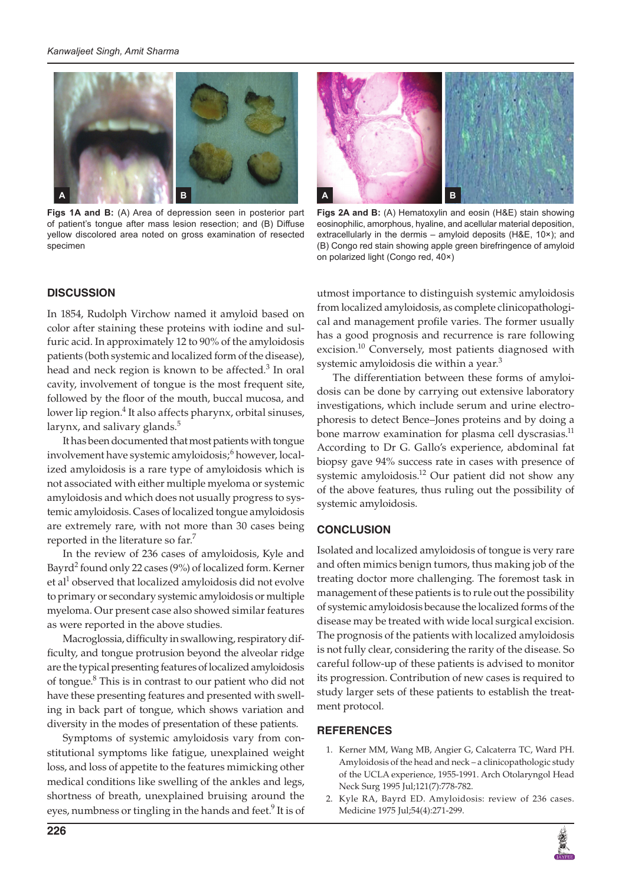

**Figs 1A and B:** (A) Area of depression seen in posterior part of patient's tongue after mass lesion resection; and (B) Diffuse yellow discolored area noted on gross examination of resected specimen

# **DISCUSSION**

In 1854, Rudolph Virchow named it amyloid based on color after staining these proteins with iodine and sulfuric acid. In approximately 12 to 90% of the amyloidosis patients (both systemic and localized form of the disease), head and neck region is known to be affected.<sup>3</sup> In oral cavity, involvement of tongue is the most frequent site, followed by the floor of the mouth, buccal mucosa, and lower lip region.<sup>4</sup> It also affects pharynx, orbital sinuses, larynx, and salivary glands. $5$ 

It has been documented that most patients with tongue involvement have systemic amyloidosis;<sup>6</sup> however, localized amyloidosis is a rare type of amyloidosis which is not associated with either multiple myeloma or systemic amyloidosis and which does not usually progress to systemic amyloidosis. Cases of localized tongue amyloidosis are extremely rare, with not more than 30 cases being reported in the literature so far.<sup>7</sup>

In the review of 236 cases of amyloidosis, Kyle and Bayrd<sup>2</sup> found only 22 cases (9%) of localized form. Kerner et al<sup>1</sup> observed that localized amyloidosis did not evolve to primary or secondary systemic amyloidosis or multiple myeloma. Our present case also showed similar features as were reported in the above studies.

Macroglossia, difficulty in swallowing, respiratory difficulty, and tongue protrusion beyond the alveolar ridge are the typical presenting features of localized amyloidosis of tongue.<sup>8</sup> This is in contrast to our patient who did not have these presenting features and presented with swelling in back part of tongue, which shows variation and diversity in the modes of presentation of these patients.

Symptoms of systemic amyloidosis vary from constitutional symptoms like fatigue, unexplained weight loss, and loss of appetite to the features mimicking other medical conditions like swelling of the ankles and legs, shortness of breath, unexplained bruising around the eyes, numbness or tingling in the hands and feet.<sup>9</sup> It is of



**Figs 2A and B:** (A) Hematoxylin and eosin (H&E) stain showing eosinophilic, amorphous, hyaline, and acellular material deposition, extracellularly in the dermis – amyloid deposits (H&E, 10×); and (B) Congo red stain showing apple green birefringence of amyloid on polarized light (Congo red, 40×)

utmost importance to distinguish systemic amyloidosis from localized amyloidosis, as complete clinicopathological and management profile varies. The former usually has a good prognosis and recurrence is rare following excision.<sup>10</sup> Conversely, most patients diagnosed with systemic amyloidosis die within a year.<sup>3</sup>

The differentiation between these forms of amyloidosis can be done by carrying out extensive laboratory investigations, which include serum and urine electrophoresis to detect Bence–Jones proteins and by doing a bone marrow examination for plasma cell dyscrasias.<sup>11</sup> According to Dr G. Gallo's experience, abdominal fat biopsy gave 94% success rate in cases with presence of systemic amyloidosis.<sup>12</sup> Our patient did not show any of the above features, thus ruling out the possibility of systemic amyloidosis.

# **CONCLUSION**

Isolated and localized amyloidosis of tongue is very rare and often mimics benign tumors, thus making job of the treating doctor more challenging. The foremost task in management of these patients is to rule out the possibility of systemic amyloidosis because the localized forms of the disease may be treated with wide local surgical excision. The prognosis of the patients with localized amyloidosis is not fully clear, considering the rarity of the disease. So careful follow-up of these patients is advised to monitor its progression. Contribution of new cases is required to study larger sets of these patients to establish the treatment protocol.

# **REFERENCES**

- 1. Kerner MM, Wang MB, Angier G, Calcaterra TC, Ward PH. Amyloidosis of the head and neck – a clinicopathologic study of the UCLA experience, 1955-1991. Arch Otolaryngol Head Neck Surg 1995 Jul;121(7):778-782.
- 2. Kyle RA, Bayrd ED. Amyloidosis: review of 236 cases. Medicine 1975 Jul;54(4):271-299.